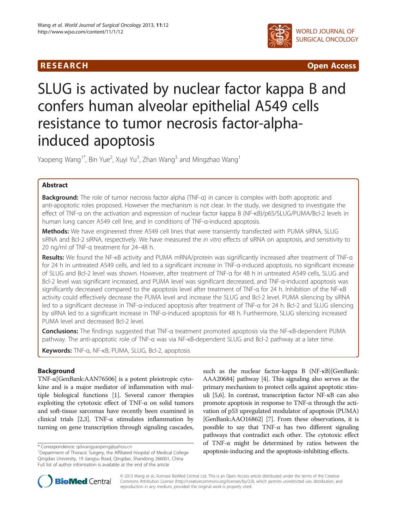

R E S EAR CH Open Access

# SLUG is activated by nuclear factor kappa B and confers human alveolar epithelial A549 cells resistance to tumor necrosis factor-alphainduced apoptosis

Yaopeng Wang<sup>1\*</sup>, Bin Yue<sup>2</sup>, Xuyi Yu<sup>3</sup>, Zhan Wang<sup>3</sup> and Mingzhao Wang<sup>1</sup>

# Abstract

Background: The role of tumor necrosis factor alpha (TNF-a) in cancer is complex with both apoptotic and anti-apoptotic roles proposed. However the mechanism is not clear. In the study, we designed to investigate the effect of TNF-α on the activation and expression of nuclear factor kappa B (NF-κB)/p65/SLUG/PUMA/Bcl-2 levels in human lung cancer A549 cell line, and in conditions of TNF-α-induced apoptosis.

Methods: We have engineered three A549 cell lines that were transiently transfected with PUMA siRNA, SLUG siRNA and Bcl-2 siRNA, respectively. We have measured the in vitro effects of siRNA on apoptosis, and sensitivity to 20 ng/ml of TNF-α treatment for 24–48 h.

Results: We found the NF-<sub>KB</sub> activity and PUMA mRNA/protein was significantly increased after treatment of TNF-a for 24 h in untreated A549 cells, and led to a significant increase in TNF-α-induced apoptosis, no significant increase of SLUG and Bcl-2 level was shown. However, after treatment of TNF-α for 48 h in untreated A549 cells, SLUG and Bcl-2 level was significant increased, and PUMA level was significant decreased, and TNF-α-induced apoptosis was significantly decreased compared to the apoptosis level after treatment of TNF-α for 24 h. Inhibition of the NF-κB activity could effectively decrease the PUMA level and increase the SLUG and Bcl-2 level. PUMA silencing by siRNA led to a significant decrease in TNF-α-induced apoptosis after treatment of TNF-α for 24 h. Bcl-2 and SLUG silencing by siRNA led to a significant increase in TNF-α-induced apoptosis for 48 h. Furthermore, SLUG silencing increased PUMA level and decreased Bcl-2 level.

Conclusions: The findings suggested that TNF-α treatment promoted apoptosis via the NF-kB-dependent PUMA pathway. The anti-apoptotic role of TNF-α was via NF-κB-dependent SLUG and Bcl-2 pathway at a later time.

Keywords: TNF-α, NF-κB, PUMA, SLUG, Bcl-2, apoptosis

# Background

TNF-α[GenBank:AAN76506] is a potent pleiotropic cytokine and is a major mediator of inflammation with multiple biological functions [\[1](#page-7-0)]. Several cancer therapies exploiting the cytotoxic effect of TNF-α on solid tumors and soft-tissue sarcomas have recently been examined in clinical trials [\[2,3\]](#page-7-0). TNF- $\alpha$  stimulates inflammation by turning on gene transcription through signaling cascades,

such as the nuclear factor-kappa B (NF-κB)[GenBank: AAA20684] pathway [\[4\]](#page-7-0). This signaling also serves as the primary mechanism to protect cells against apoptotic stimuli [[5,6](#page-7-0)]. In contrast, transcription factor NF-κB can also promote apoptosis in response to TNF-α through the activation of p53 upregulated modulator of apoptosis (PUMA) [GenBank:AAO16862] [\[7\]](#page-7-0). From these observations, it is possible to say that TNF- $\alpha$  has two different signaling pathways that contradict each other. The cytotoxic effect of TNF-α might be determined by ratios between the \* Correspondence: [qdwangyaopeng@yahoo.cn](mailto:qdwangyaopeng@yahoo.cn) and the apoptosis-inducing and the apoptosis-inhibiting effects. <sup>1</sup>Department of Thoracic Surgery, the Affiliated Hospital of Medical College apoptosis-inducing and the apoptosis-i



© 2013 Wang et al.; licensee BioMed Central Ltd. This is an Open Access article distributed under the terms of the Creative Commons Attribution License [\(http://creativecommons.org/licenses/by/2.0\)](http://creativecommons.org/licenses/by/2.0), which permits unrestricted use, distribution, and reproduction in any medium, provided the original work is properly cited.

Qingdao University, 19 Jiangsu Road, Qingdao, Shandong 266001, China Full list of author information is available at the end of the article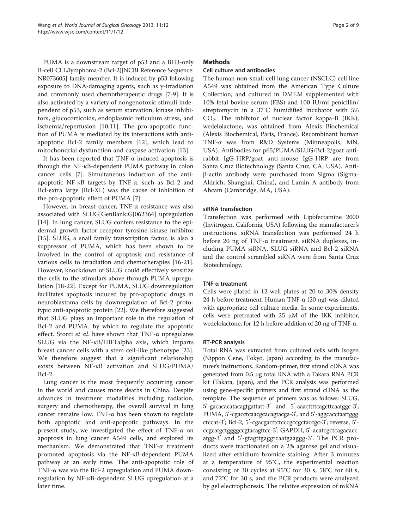PUMA is a downstream target of p53 and a BH3-only B-cell CLL/lymphoma-2 (Bcl-2)[NCBI Reference Sequence: NR073605] family member. It is induced by p53 following exposure to DNA-damaging agents, such as γ-irradiation and commonly used chemotherapeutic drugs [\[7-9](#page-7-0)]. It is also activated by a variety of nongenotoxic stimuli independent of p53, such as serum starvation, kinase inhibitors, glucocorticoids, endoplasmic reticulum stress, and ischemia/reperfusion [\[10](#page-7-0),[11\]](#page-7-0). The pro-apoptotic function of PUMA is mediated by its interactions with antiapoptotic Bcl-2 family members [[12\]](#page-7-0), which lead to mitochondrial dysfunction and caspase activation [\[13](#page-7-0)].

It has been reported that TNF-α-induced apoptosis is through the NF-κB-dependent PUMA pathway in colon cancer cells [\[7](#page-7-0)]. Simultaneous induction of the antiapoptotic NF-κB targets by TNF-α, such as Bcl-2 and Bcl-extra large (Bcl-XL) was the cause of inhibition of the pro-apoptotic effect of PUMA [[7](#page-7-0)].

However, in breast cancer, TNF-α resistance was also associated with SLUG[GenBank:GJ062364] upregulation [[14\]](#page-7-0). In lung cancer, SLUG confers resistance to the epidermal growth factor receptor tyrosine kinase inhibitor [[15\]](#page-7-0). SLUG, a snail family transcription factor, is also a suppressor of PUMA, which has been shown to be involved in the control of apoptosis and resistance of various cells to irradiation and chemotherapies [\[16-21](#page-8-0)]. However, knockdown of SLUG could effectively sensitize the cells to the stimulars above through PUMA upregulation [\[18](#page-8-0)-[22\]](#page-8-0). Except for PUMA, SLUG downregulation facilitates apoptosis induced by pro-apoptotic drugs in neuroblastoma cells by downregulation of Bcl-2 prototypic anti-apoptotic protein [[22](#page-8-0)]. We therefore suggested that SLUG plays an important role in the regulation of Bcl-2 and PUMA, by which to regulate the apoptotic effect. Storci et al. have shown that  $TNF-\alpha$  upregulates SLUG via the NF-κB/HIF1alpha axis, which imparts breast cancer cells with a stem cell-like phenotype [\[23](#page-8-0)]. We therefore suggest that a significant relationship exists between NF-κB activation and SLUG/PUMA/ Bcl-2.

Lung cancer is the most frequently occurring cancer in the world and causes more deaths in China. Despite advances in treatment modalities including radiation, surgery and chemotherapy, the overall survival in lung cancer remains low. TNF-α has been shown to regulate both apoptotic and anti-apoptotic pathways. In the present study, we investigated the effect of TNF-α on apoptosis in lung cancer A549 cells, and explored its mechanism. We demonstrated that TNF-α treatment promoted apoptosis via the NF-κB-dependent PUMA pathway at an early time. The anti-apoptotic role of TNF-α was via the Bcl-2 upregulation and PUMA downregulation by NF-κB-dependent SLUG upregulation at a later time.

# **Methods**

#### Cell culture and antibodies

The human non-small cell lung cancer (NSCLC) cell line A549 was obtained from the American Type Culture Collection, and cultured in DMEM supplemented with 10% fetal bovine serum (FBS) and 100 IU/ml penicillin/ streptomycin in a 37°C humidified incubator with 5% CO2. The inhibitor of nuclear factor kappa-B (IKK), wedelolactone, was obtained from Alexis Biochemical (Alexis Biochemical, Paris, France). Recombinant human TNF-α was from R&D Systems (Minneapolis, MN, USA). Antibodies for p65/PUMA/SLUG/Bcl-2/goat antirabbit IgG-HRP/goat anti-mouse IgG-HRP are from Santa Cruz Biotechnology (Santa Cruz, CA, USA). Antiβ-actin antibody were purchased from Sigma (Sigma-Aldrich, Shanghai, China), and Lamin A antibody from Abcam (Cambridge, MA, USA).

# siRNA transfection

Transfection was performed with Lipofectamine 2000 (Invitrogen, California, USA) following the manufacturer's instructions. siRNA transfection was performed 24 h before 20 ng of TNF-α treatment. siRNA duplexes, including PUMA siRNA, SLUG siRNA and Bcl-2 siRNA and the control scrambled siRNA were from Santa Cruz Biotechnology.

#### TNF-α treatment

Cells were plated in 12-well plates at 20 to 30% density 24 h before treatment. Human TNF-α (20 ng) was diluted with appropriate cell culture media. In some experiments, cells were pretreated with  $25 \mu M$  of the IKK inhibitor, wedelolactone, for 12 h before addition of 20 ng of TNF-α.

#### RT-PCR analysis

Total RNA was extracted from cultured cells with Isogen (Nippon Gene, Tokyo, Japan) according to the manufacturer's instructions. Random-primer, first strand cDNA was generated from 0.5 μg total RNA with a Takara RNA PCR kit (Takara, Japan), and the PCR analysis was performed using gene-specific primers and first strand cDNA as the template. The sequence of primers was as follows: SLUG,  $5'$ -gacacacatacagtgattatt-3' and  $5'$ -aaacttttcagcttcaatggc-3'; PUMA, 5'-cgacctcaacgcacagtacga-3', and 5'-aggcacctaattggg ctccat-3'; Bcl-2, 5'-cgacgacttctcccgccgctaccgc-3'; reverse, 5'ccgcatgctggggccgtacagttcc-3'; GAPDH, 5'-acatcgctcagacacc atgg-3' and 5'-gtagttgaggtcaatgaaggg-3'. The PCR products were fractionated on a 2% agarose gel and visualized after ethidium bromide staining. After 3 minutes at a temperature of 95°C, the experimental reaction consisting of 30 cycles at 95°C for 30 s, 58°C for 60 s, and 72°C for 30 s, and the PCR products were analyzed by gel electrophoresis. The relative expression of mRNA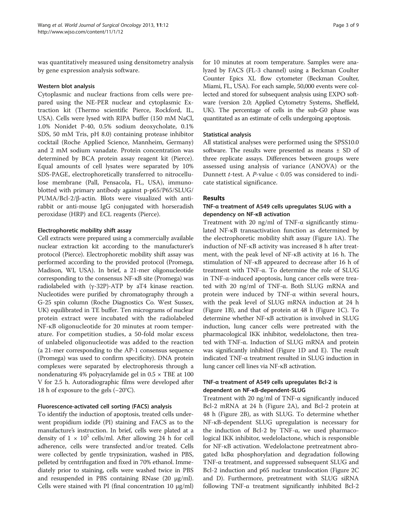was quantitatively measured using densitometry analysis by gene expression analysis software.

#### Western blot analysis

Cytoplasmic and nuclear fractions from cells were prepared using the NE-PER nuclear and cytoplasmic Extraction kit (Thermo scientific Pierce, Rockford, IL, USA). Cells were lysed with RIPA buffer (150 mM NaCl, 1.0% Nonidet P-40, 0.5% sodium deoxycholate, 0.1% SDS, 50 mM Tris, pH 8.0) containing protease inhibitor cocktail (Roche Applied Science, Mannheim, Germany) and 2 mM sodium vanadate. Protein concentration was determined by BCA protein assay reagent kit (Pierce). Equal amounts of cell lysates were separated by 10% SDS-PAGE, electrophoretically transferred to nitrocellulose membrane (Pall, Pensacola, FL, USA), immunoblotted with primary antibody against p-p65/P65/SLUG/ PUMA/Bcl-2/β-actin. Blots were visualized with antirabbit or anti-mouse IgG conjugated with horseradish peroxidase (HRP) and ECL reagents (Pierce).

#### Electrophoretic mobility shift assay

Cell extracts were prepared using a commercially available nuclear extraction kit according to the manufacturer's protocol (Pierce). Electrophoretic mobility shift assay was performed according to the provided protocol (Promega, Madison, WI, USA). In brief, a 21-mer oligonucleotide corresponding to the consensus NF-κB site (Promega) was radiolabeled with  $(y-32P)$ -ATP by aT4 kinase reaction. Nucleotides were purified by chromatography through a G-25 spin column (Roche Diagnostics Co. West Sussex, UK) equilibrated in TE buffer. Ten micrograms of nuclear protein extract were incubated with the radiolabeled NF-κB oligonucleotide for 20 minutes at room temperature. For competition studies, a 50-fold molar excess of unlabeled oligonucleotide was added to the reaction (a 21-mer corresponding to the AP-1 consensus sequence (Promega) was used to confirm specificity). DNA protein complexes were separated by electrophoresis through a nondenaturing 4% polyacrylamide gel in  $0.5 \times$  TBE at 100 V for 2.5 h. Autoradiographic films were developed after 18 h of exposure to the gels (−20°C).

#### Fluorescence-activated cell sorting (FACS) analysis

To identify the induction of apoptosis, treated cells underwent propidium iodide (PI) staining and FACS as to the manufacture's instruction. In brief, cells were plated at a density of  $1 \times 10^5$  cells/ml. After allowing 24 h for cell adherence, cells were transfected and/or treated. Cells were collected by gentle trypsinization, washed in PBS, pelleted by centrifugation and fixed in 70% ethanol. Immediately prior to staining, cells were washed twice in PBS and resuspended in PBS containing RNase (20 μg/ml). Cells were stained with PI (final concentration 10 μg/ml)

for 10 minutes at room temperature. Samples were analyzed by FACS (FL-3 channel) using a Beckman Coulter Counter Epics XL flow cytometer (Beckman Coulter, Miami, FL, USA). For each sample, 50,000 events were collected and stored for subsequent analysis using EXPO software (version 2.0; Applied Cytometry Systems, Sheffield, UK). The percentage of cells in the sub-G0 phase was quantitated as an estimate of cells undergoing apoptosis.

#### Statistical analysis

All statistical analyses were performed using the SPSS10.0 software. The results were presented as means  $\pm$  SD of three replicate assays. Differences between groups were assessed using analysis of variance (ANOVA) or the Dunnett *t*-test. A *P*-value  $< 0.05$  was considered to indicate statistical significance.

#### Results

#### TNF-α treatment of A549 cells upregulates SLUG with a dependency on NF-κB activation

Treatment with 20 ng/ml of TNF- $\alpha$  significantly stimulated NF-κB transactivation function as determined by the electrophoretic mobility shift assay (Figure [1A](#page-3-0)). The induction of NF-κB activity was increased 8 h after treatment, with the peak level of NF-κB activity at 16 h. The stimulation of NF-κB appeared to decrease after 16 h of treatment with TNF-α. To determine the role of SLUG in TNF-α-induced apoptosis, lung cancer cells were treated with 20 ng/ml of TNF-α. Both SLUG mRNA and protein were induced by TNF- $\alpha$  within several hours, with the peak level of SLUG mRNA induction at 24 h (Figure [1B](#page-3-0)), and that of protein at 48 h (Figure [1](#page-3-0)C). To determine whether NF-κB activation is involved in SLUG induction, lung cancer cells were pretreated with the pharmacological IKK inhibitor, wedelolactone, then treated with TNF-α. Induction of SLUG mRNA and protein was significantly inhibited (Figure [1D](#page-3-0) and E). The result indicated TNF-α treatment resulted in SLUG induction in lung cancer cell lines via NF-κB activation.

## TNF-α treatment of A549 cells upregulates Bcl-2 is dependent on NF-κB-dependent-SLUG

Treatment with 20 ng/ml of TNF-α significantly induced Bcl-2 mRNA at 24 h (Figure [2](#page-4-0)A), and Bcl-2 protein at 48 h (Figure [2B\)](#page-4-0), as with SLUG. To determine whether NF-κB-dependent SLUG upregulation is necessary for the induction of Bcl-2 by TNF-α, we used pharmacological IKK inhibitor, wedelolactone, which is responsible for NF-κB activation. Wedelolactone pretreatment abrogated IκBα phosphorylation and degradation following TNF-α treatment, and suppressed subsequent SLUG and Bcl-2 induction and p65 nuclear translocation (Figure [2](#page-4-0)C and D). Furthermore, pretreatment with SLUG siRNA following TNF-α treatment significantly inhibited Bcl-2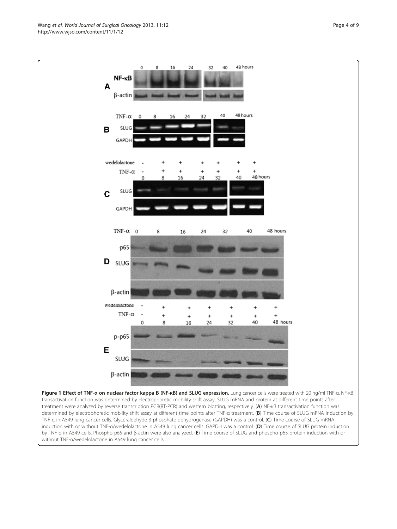Figure 1 Effect of TNF-α on nuclear factor kappa B (NF-κB) and SLUG expression. Lung cancer cells were treated with 20 ng/ml TNF-α. NF-κB transactivation function was determined by electrophoretic mobility shift assay. SLUG mRNA and protein at different time points after treatment were analyzed by reverse transcription PCR(RT-PCR) and western blotting, respectively. (A) NF-κB transactivation function was determined by electrophoretic mobility shift assay at different time points after TNF-a treatment. (B) Time course of SLUG mRNA induction by TNF-α in A549 lung cancer cells. Glyceraldehyde-3-phosphate dehydrogenase (GAPDH) was a control. (C) Time course of SLUG mRNA induction with or without TNF-α/wedelolactone in A549 lung cancer cells. GAPDH was a control. (D) Time course of SLUG protein induction by TNF-α in A549 cells. Phospho-p65 and β-actin were also analyzed. (E) Time course of SLUG and phospho-p65 protein induction with or without TNF-α/wedelolactone in A549 lung cancer cells.

<span id="page-3-0"></span> $\mathbf{0}$ 16 24  $32$ 40 48 hours  $\mathbf{R}$  $NF - \kappa B$ A  $\beta$ -actin 48 hours  $40$ TNF- $\alpha$  $24$ 32 16 **SLUG**  $\mathbf B$ GAPDH wedelolactone TNF- $\alpha$ 48 hours 16 40 8  $24$ 32 **SLUG** C GAPDH TNF- $\alpha$  0 40 48 hours 8 16 24 32  $-p65$ D SLUG  $\beta$ -actin wedelolactone  $\ddot{}$  $\overline{1}$  $\ddot{}$  $\overline{1}$ TNF- $\alpha$  $\ddot{}$  $\overline{+}$  $\ddot{}$  $\overline{1}$  $\ddot{}$ 48 hours 8 40 16 24 32 C p-p65 Е

**SLUG** 

 $\beta$ -actin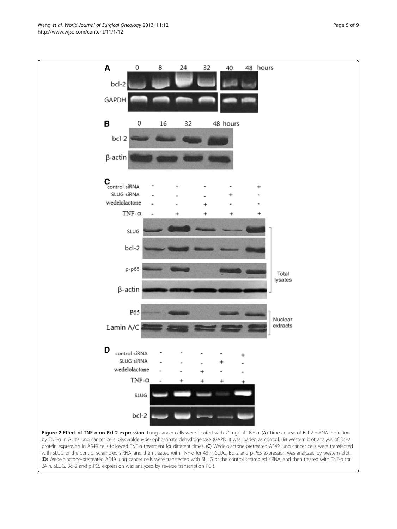<span id="page-4-0"></span>Wang et al. World Journal of Surgical Oncology 2013, 11:12 extending the Surgical District Page 5 of 9 http://www.wjso.com/content/11/1/12



Figure 2 Effect of TNF-a on Bcl-2 expression. Lung cancer cells were treated with 20 ng/ml TNF-a. (A) Time course of Bcl-2 mRNA induction by TNF-a in A549 lung cancer cells. Glyceraldehyde-3-phosphate dehydrogenase (GAPDH) was loaded as control. (B) Western blot analysis of Bcl-2 protein expression in A549 cells followed TNF-α treatment for different times. (C) Wedelolactone-pretreated A549 lung cancer cells were transfected with SLUG or the control scrambled siRNA, and then treated with TNF-a for 48 h. SLUG, Bcl-2 and p-P65 expression was analyzed by western blot. (D) Wedelolactone-pretreated A549 lung cancer cells were transfected with SLUG or the control scrambled siRNA, and then treated with TNF-α for 24 h. SLUG, Bcl-2 and p-P65 expression was analyzed by reverse transcription PCR.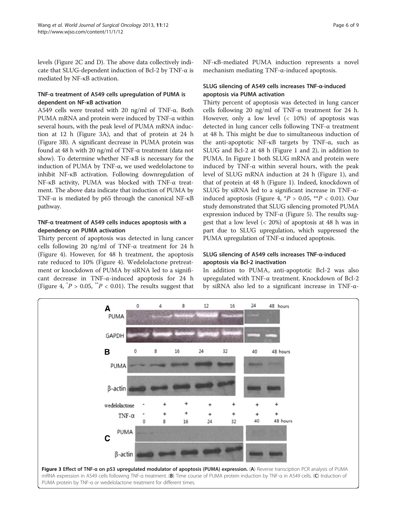levels (Figure [2C and D\)](#page-4-0). The above data collectively indicate that SLUG-dependent induction of Bcl-2 by TNF-α is mediated by NF-κB activation.

# TNF-α treatment of A549 cells upregulation of PUMA is dependent on NF-κB activation

A549 cells were treated with 20 ng/ml of TNF-α. Both PUMA mRNA and protein were induced by TNF-α within several hours, with the peak level of PUMA mRNA induction at 12 h (Figure 3A), and that of protein at 24 h (Figure 3B). A significant decrease in PUMA protein was found at 48 h with 20 ng/ml of TNF-α treatment (data not show). To determine whether NF-κB is necessary for the induction of PUMA by TNF-α, we used wedelolactone to inhibit NF-κB activation. Following downregulation of NF-κB activity, PUMA was blocked with TNF-α treatment. The above data indicate that induction of PUMA by TNF-α is mediated by p65 through the canonical NF-κB pathway.

# TNF-α treatment of A549 cells induces apoptosis with a dependency on PUMA activation

Thirty percent of apoptosis was detected in lung cancer cells following 20 ng/ml of TNF- $\alpha$  treatment for 24 h (Figure [4](#page-6-0)). However, for 48 h treatment, the apoptosis rate reduced to 10% (Figure [4\)](#page-6-0). Wedelolactone pretreatment or knockdown of PUMA by siRNA led to a significant decrease in TNF-α-induced apoptosis for 24 h (Figure [4,](#page-6-0)  $^{*}P > 0.05$ ,  $^{**}P < 0.01$ ). The results suggest that

# SLUG silencing of A549 cells increases TNF-α-induced apoptosis via PUMA activation

Thirty percent of apoptosis was detected in lung cancer cells following 20 ng/ml of TNF- $\alpha$  treatment for 24 h. However, only a low level  $\left( < 10\% \right)$  of apoptosis was detected in lung cancer cells following TNF-α treatment at 48 h. This might be due to simultaneous induction of the anti-apoptotic NF- $κ$ B targets by TNF- $α$ , such as SLUG and Bcl-2 at 48 h (Figure [1](#page-3-0) and [2](#page-4-0)), in addition to PUMA. In Figure [1](#page-3-0) both SLUG mRNA and protein were induced by TNF- $\alpha$  within several hours, with the peak level of SLUG mRNA induction at 24 h (Figure [1](#page-3-0)), and that of protein at 48 h (Figure [1\)](#page-3-0). Indeed, knockdown of SLUG by siRNA led to a significant increase in TNF-α-induced apoptosis (Figure [4](#page-6-0),  $^*P > 0.05$ ,  $^{**}P < 0.01$ ). Our study demonstrated that SLUG silencing promoted PUMA expression induced by TNF- $\alpha$  (Figure [5\)](#page-6-0). The results suggest that a low level (< 20%) of apoptosis at 48 h was in part due to SLUG upregulation, which suppressed the PUMA upregulation of TNF-α induced apoptosis.

# SLUG silencing of A549 cells increases TNF-α-induced apoptosis via Bcl-2 inactivation

In addition to PUMA, anti-apoptotic Bcl-2 was also upregulated with TNF-α treatment. Knockdown of Bcl-2 by siRNA also led to a significant increase in TNF-α-

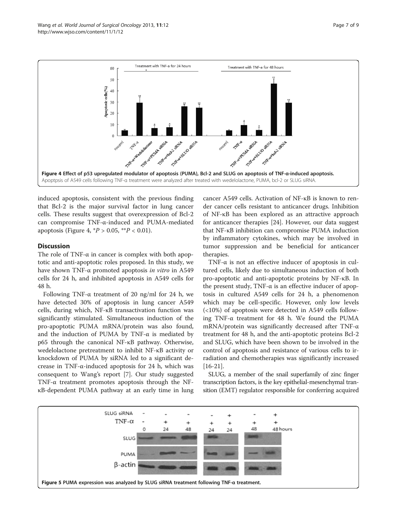<span id="page-6-0"></span>

induced apoptosis, consistent with the previous finding that Bcl-2 is the major survival factor in lung cancer cells. These results suggest that overexpression of Bcl-2 can compromise TNF-α-induced and PUMA-mediated apoptosis (Figure 4,  $^*P > 0.05$ ,  $^{**}P < 0.01$ ).

#### **Discussion**

The role of TNF-α in cancer is complex with both apoptotic and anti-apoptotic roles proposed. In this study, we have shown TNF-α promoted apoptosis in vitro in A549 cells for 24 h, and inhibited apoptosis in A549 cells for 48 h.

Following TNF-α treatment of 20 ng/ml for 24 h, we have detected 30% of apoptosis in lung cancer A549 cells, during which, NF-κB transactivation function was significantly stimulated. Simultaneous induction of the pro-apoptotic PUMA mRNA/protein was also found, and the induction of PUMA by TNF- $\alpha$  is mediated by p65 through the canonical NF-κB pathway. Otherwise, wedelolactone pretreatment to inhibit NF-κB activity or knockdown of PUMA by siRNA led to a significant decrease in TNF-α-induced apoptosis for 24 h, which was consequent to Wang's report [\[7](#page-7-0)]. Our study suggested TNF-α treatment promotes apoptosis through the NFκB-dependent PUMA pathway at an early time in lung cancer A549 cells. Activation of NF-κB is known to render cancer cells resistant to anticancer drugs. Inhibition of NF-κB has been explored as an attractive approach for anticancer therapies [[24](#page-8-0)]. However, our data suggest that NF-κB inhibition can compromise PUMA induction by inflammatory cytokines, which may be involved in tumor suppression and be beneficial for anticancer therapies.

TNF- $\alpha$  is not an effective inducer of apoptosis in cultured cells, likely due to simultaneous induction of both pro-apoptotic and anti-apoptotic proteins by NF-κB. In the present study, TNF- $\alpha$  is an effective inducer of apoptosis in cultured A549 cells for 24 h, a phenomenon which may be cell-specific. However, only low levels (<10%) of apoptosis were detected in A549 cells following TNF-α treatment for 48 h. We found the PUMA mRNA/protein was significantly decreased after TNF-α treatment for 48 h, and the anti-apoptotic proteins Bcl-2 and SLUG, which have been shown to be involved in the control of apoptosis and resistance of various cells to irradiation and chemotherapies was significantly increased [[16-21](#page-8-0)].

SLUG, a member of the snail superfamily of zinc finger transcription factors, is the key epithelial-mesenchymal transition (EMT) regulator responsible for conferring acquired

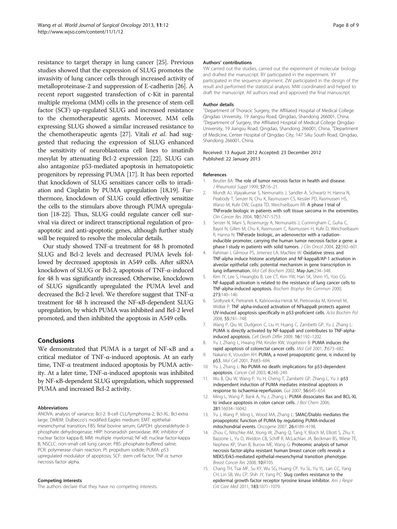<span id="page-7-0"></span>resistance to target therapy in lung cancer [[25](#page-8-0)]. Previous studies showed that the expression of SLUG promotes the invasivity of lung cancer cells through increased activity of metalloproteinase-2 and suppression of E-cadherin [\[26\]](#page-8-0). A recent report suggested transfection of c-Kit in parental multiple myeloma (MM) cells in the presence of stem cell factor (SCF) up-regulated SLUG and increased resistance to the chemotherapeutic agents. Moreover, MM cells expressing SLUG showed a similar increased resistance to the chemotherapeutic agents [\[27\]](#page-8-0). Vitali et al. had suggested that reducing the expression of SLUG enhanced the sensitivity of neuroblastoma cell lines to imatinib mesylat by attenuating Bcl-2 expression [[22](#page-8-0)]. SLUG can also antagonize p53-mediated apoptosis in hematopoietic progenitors by repressing PUMA [\[17\]](#page-8-0). It has been reported that knockdown of SLUG sensitizes cancer cells to irradiation and Cisplatin by PUMA upregulation [\[18,19](#page-8-0)]. Furthermore, knockdown of SLUG could effectively sensitize the cells to the stimulars above through PUMA upregulation [\[18-22\]](#page-8-0). Thus, SLUG could regulate cancer cell survival via direct or indirect transcriptional regulation of proapoptotic and anti-apoptotic genes, although further study will be required to resolve the molecular details.

Our study showed TNF-α treatment for 48 h promoted SLUG and Bcl-2 levels and decreased PUMA levels followed by decreased apoptosis in A549 cells. After siRNA knockdown of SLUG or Bcl-2, apoptosis of TNF-α-induced for 48 h was significantly increased. Otherwise, knockdown of SLUG significantly upregulated the PUMA level and decreased the Bcl-2 level. We therefore suggest that TNF-α treatment for 48 h increased the NF-κB-dependent SLUG upregulation, by which PUMA was inhibited and Bcl-2 level promoted, and then inhibited the apoptosis in A549 cells.

#### Conclusions

We demonstrated that PUMA is a target of NF-κB and a critical mediator of TNF-α-induced apoptosis. At an early time, TNF-α treatment induced apoptosis by PUMA activity. At a later time, TNF-α-induced apoptosis was inhibited by NF-κB-dependent SLUG upregulation, which suppressed PUMA and increased Bcl-2 activity.

#### Abbreviations

ANOVA: analysis of variance; Bcl-2: B-cell CLL/lymphoma-2; Bcl-XL: Bcl-extra large; DMEM: Dulbecco's modified Eagles medium; EMT: epithelialmesenchymal transition; FBS: fetal bovine serum; GAPDH: glyceraldehyde-3 phosphate dehydrogenase; HRP: horseradish peroxidase; IKK: inhibitor of nuclear factor kappa-B; MM: multiple myeloma); NF-κB: nuclear factor-kappa B; NSCLC: non-small cell lung cancer; PBS: phosphate-buffered saline; PCR: polymerase chain reaction; PI: propidium iodide; PUMA: p53 upregulated modulator of apoptosis; SCF: stem cell factor; TNF-α: tumor necrosis factor alpha.

#### Competing interests

The authors declare that they have no competing interests.

#### Authors' contributions

YW carried out the studies, carried out the experiment of molecular biology and drafted the manuscript. BY participated in the experiment. XY participated in the sequence alignment. ZW participated in the design of the result and performed the statistical analysis. MW coordinated and helped to draft the manuscript. All authors read and approved the final manuscript.

#### Author details

<sup>1</sup>Department of Thoracic Surgery, the Affiliated Hospital of Medical College Qingdao University, 19 Jiangsu Road, Qingdao, Shandong 266001, China. <sup>2</sup> Department of Surgery, the Affiliated Hospital of Medical College Qingdao University, 19 Jiangsu Road, Qingdao, Shandong 266001, China. <sup>3</sup>Department of Medicine, Center Hospital of Qingdao City, 147 Siliu South Road, Qingdao, Shandong 266001, China.

#### Received: 13 August 2012 Accepted: 23 December 2012 Published: 22 January 2013

#### References

- 1. Beutler BA: The role of tumor necrosis factor in health and disease. J Rheumatol Suppl 1999, 57:16–21.
- 2. Mundt AJ, Vijayakumar S, Nemunaitis J, Sandler A, Schwartz H, Hanna N, Peabody T, Senzer N, Chu K, Rasmussen CS, Kessler PD, Rasmussen HS, Warso M, Kufe DW, Gupta TD, Weichselbaum RR: A phase I trial of TNFerade biologic in patients with soft tissue sarcoma in the extremities. Clin Cancer Res 2004, 10:5747–5753.
- 3. Senzer N, Mani S, Rosemurgy A, Nemunaitis J, Cunningham C, Guha C, Bayol N, Gillen M, Chu K, Rasmussen C, Rasmussen H, Kufe D, Weichselbaum R, Hanna N: TNFerade biologic, an adenovector with a radiationinducible promoter, carrying the human tumor necrosis factor a gene: a phase I study in patients with solid tumors. J Clin Oncol 2004, 22:592-601.
- 4. Rahman I, Gilmour PS, Jimenez LA, MacNee W: Oxidative stress and TNF-alpha induce histone acetylation and NF-kappaB/AP-1 activation in alveolar epithelial cells: potential mechanism in gene transcription in lung inflammation. Mol Cell Biochem 2002, May-Jun:234–348.
- Kim JY, Lee S, Hwangbo B, Lee CT, Kim YW, Han SK, Shim YS, Yoo CG: NF-kappaB activation is related to the resistance of lung cancer cells to TNF-alpha-induced apoptosis. Biochem Biophys Res Commun 2000, 273:140–146.
- 6. Szołtysek K, Pietranek K, Kalinowska-Herok M, Pietrowska M, Kimmel M, Widłak P: TNF alpha-induced activation of NFkappaB protects against UV-induced apoptosis specifically in p53-proficient cells. Acta Biochim Pol 2008, 55:741–748.
- 7. Wang P, Qiu W, Dudgeon C, Liu H, Huang C, Zambetti GP, Yu J, Zhang L: PUMA is directly activated by NF-kappaB and contributes to TNF-alphainduced apoptosis. Cell Death Differ 2009, 16:1192–1202.
- 8. Yu J, Zhang L, Hwang PM, Kinzler KW, Vogelstein B: PUMA induces the rapid apoptosis of colorectal cancer cells. Mol Cell 2001, 7:673–682.
- 9. Nakano K, Vousden KH: PUMA, a novel proapoptotic gene, is induced by p53. Mol Cell 2001, 7:683–694.
- 10. Yu J, Zhang L: No PUMA no death: implications for p53-dependent apoptosis. Cancer Cell 2003, 4:248–249.
- 11. Wu B, Qiu W, Wang P, Yu H, Cheng T, Zambetti GP, Zhang L, Yu J: p53 independent induction of PUMA mediates intestinal apoptosis in response to ischaemia-reperfusion. Gut 2007, 56:645–654.
- 12. Ming L, Wang P, Bank A, Yu J, Zhang L: PUMA dissociates Bax and BCL-XL to induce apoptosis in colon cancer cells. J Biol Chem 2006, 281:16034–16042.
- 13. Yu J, Wang P, Ming L, Wood MA, Zhang L: SMAC/Diablo mediates the proapoptotic function of PUMA by regulating PUMA-induced mitochondrial events. Oncogene 2007, 26:4189–4198.
- 14. Zhou C, Nitschke AM, Xiong W, Zhang Q, Tang Y, Bloch M, Elliott S, Zhu Y, Bazzone L, Yu D, Weldon CB, Schiff R, McLachlan JA, Beckman BS, Wiese TE, Nephew KP, Shan B, Burow ME, Wang G: Proteomic analysis of tumor necrosis factor-alpha resistant human breast cancer cells reveals a MEK5/Erk5-mediated epithelial-mesenchymal transition phenotype. Breast Cancer Res 2008, 10:R105.
- 15. Chang TH, Tsai MF, Su KY, Wu SG, Huang CP, Yu SL, Yu YL, Lan CC, Yang CH, Lin SB, Wu CP, Shih JY, Yang PC: Slug confers resistance to the epidermal growth factor receptor tyrosine kinase inhibitor. Am J Respir Crit Care Med 2011, 183:1071–1079.